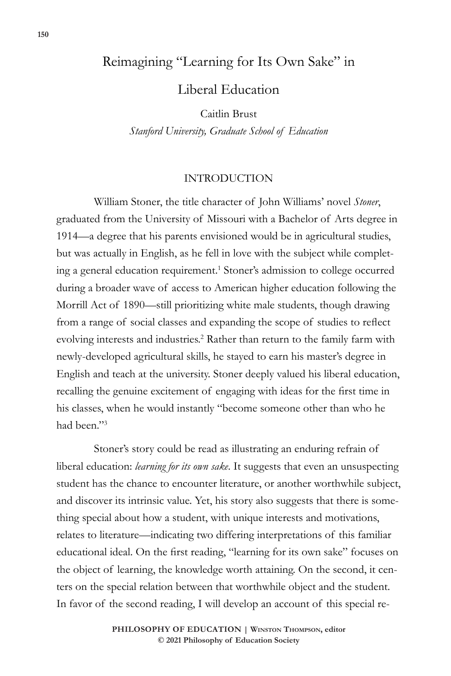# Reimagining "Learning for Its Own Sake" in

Liberal Education

Caitlin Brust

*Stanford University, Graduate School of Education*

## INTRODUCTION

William Stoner, the title character of John Williams' novel *Stoner*, graduated from the University of Missouri with a Bachelor of Arts degree in 1914—a degree that his parents envisioned would be in agricultural studies, but was actually in English, as he fell in love with the subject while completing a general education requirement.<sup>1</sup> Stoner's admission to college occurred during a broader wave of access to American higher education following the Morrill Act of 1890—still prioritizing white male students, though drawing from a range of social classes and expanding the scope of studies to reflect evolving interests and industries.<sup>2</sup> Rather than return to the family farm with newly-developed agricultural skills, he stayed to earn his master's degree in English and teach at the university. Stoner deeply valued his liberal education, recalling the genuine excitement of engaging with ideas for the first time in his classes, when he would instantly "become someone other than who he had been."3

Stoner's story could be read as illustrating an enduring refrain of liberal education: *learning for its own sake*. It suggests that even an unsuspecting student has the chance to encounter literature, or another worthwhile subject, and discover its intrinsic value. Yet, his story also suggests that there is something special about how a student, with unique interests and motivations, relates to literature—indicating two differing interpretations of this familiar educational ideal. On the first reading, "learning for its own sake" focuses on the object of learning, the knowledge worth attaining. On the second, it centers on the special relation between that worthwhile object and the student. In favor of the second reading, I will develop an account of this special re-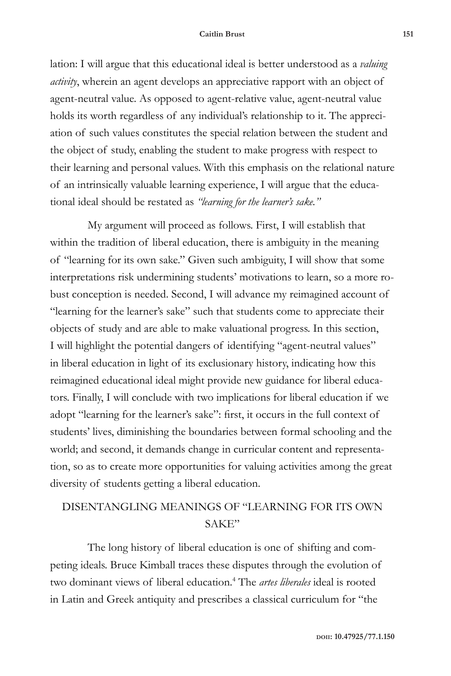lation: I will argue that this educational ideal is better understood as a *valuing activity*, wherein an agent develops an appreciative rapport with an object of agent-neutral value. As opposed to agent-relative value, agent-neutral value holds its worth regardless of any individual's relationship to it. The appreciation of such values constitutes the special relation between the student and the object of study, enabling the student to make progress with respect to their learning and personal values. With this emphasis on the relational nature of an intrinsically valuable learning experience, I will argue that the educational ideal should be restated as *"learning for the learner's sake."*

My argument will proceed as follows. First, I will establish that within the tradition of liberal education, there is ambiguity in the meaning of "learning for its own sake." Given such ambiguity, I will show that some interpretations risk undermining students' motivations to learn, so a more robust conception is needed. Second, I will advance my reimagined account of "learning for the learner's sake" such that students come to appreciate their objects of study and are able to make valuational progress. In this section, I will highlight the potential dangers of identifying "agent-neutral values" in liberal education in light of its exclusionary history, indicating how this reimagined educational ideal might provide new guidance for liberal educators. Finally, I will conclude with two implications for liberal education if we adopt "learning for the learner's sake": first, it occurs in the full context of students' lives, diminishing the boundaries between formal schooling and the world; and second, it demands change in curricular content and representation, so as to create more opportunities for valuing activities among the great diversity of students getting a liberal education.

# DISENTANGLING MEANINGS OF "LEARNING FOR ITS OWN SAKE"

The long history of liberal education is one of shifting and competing ideals. Bruce Kimball traces these disputes through the evolution of two dominant views of liberal education.4 The *artes liberales* ideal is rooted in Latin and Greek antiquity and prescribes a classical curriculum for "the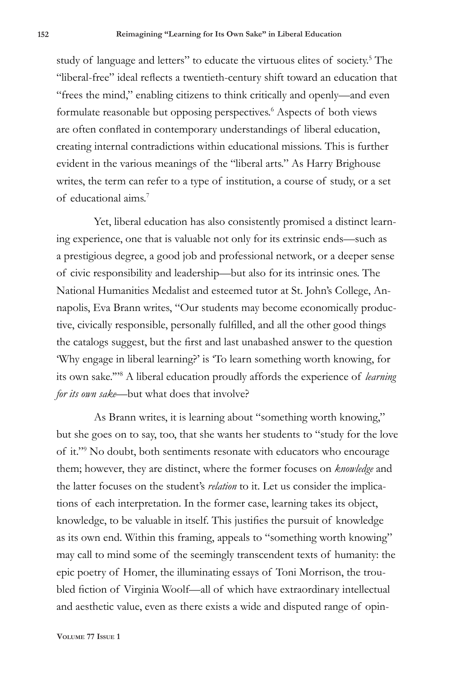study of language and letters" to educate the virtuous elites of society.<sup>5</sup> The "liberal-free" ideal reflects a twentieth-century shift toward an education that "frees the mind," enabling citizens to think critically and openly—and even formulate reasonable but opposing perspectives.<sup>6</sup> Aspects of both views are often conflated in contemporary understandings of liberal education, creating internal contradictions within educational missions. This is further evident in the various meanings of the "liberal arts." As Harry Brighouse writes, the term can refer to a type of institution, a course of study, or a set of educational aims.7

Yet, liberal education has also consistently promised a distinct learning experience, one that is valuable not only for its extrinsic ends—such as a prestigious degree, a good job and professional network, or a deeper sense of civic responsibility and leadership—but also for its intrinsic ones. The National Humanities Medalist and esteemed tutor at St. John's College, Annapolis, Eva Brann writes, "Our students may become economically productive, civically responsible, personally fulfilled, and all the other good things the catalogs suggest, but the first and last unabashed answer to the question 'Why engage in liberal learning?' is 'To learn something worth knowing, for its own sake.'"8 A liberal education proudly affords the experience of *learning for its own sake*—but what does that involve?

As Brann writes, it is learning about "something worth knowing," but she goes on to say, too, that she wants her students to "study for the love of it."9 No doubt, both sentiments resonate with educators who encourage them; however, they are distinct, where the former focuses on *knowledge* and the latter focuses on the student's *relation* to it. Let us consider the implications of each interpretation. In the former case, learning takes its object, knowledge, to be valuable in itself. This justifies the pursuit of knowledge as its own end. Within this framing, appeals to "something worth knowing" may call to mind some of the seemingly transcendent texts of humanity: the epic poetry of Homer, the illuminating essays of Toni Morrison, the troubled fiction of Virginia Woolf—all of which have extraordinary intellectual and aesthetic value, even as there exists a wide and disputed range of opin-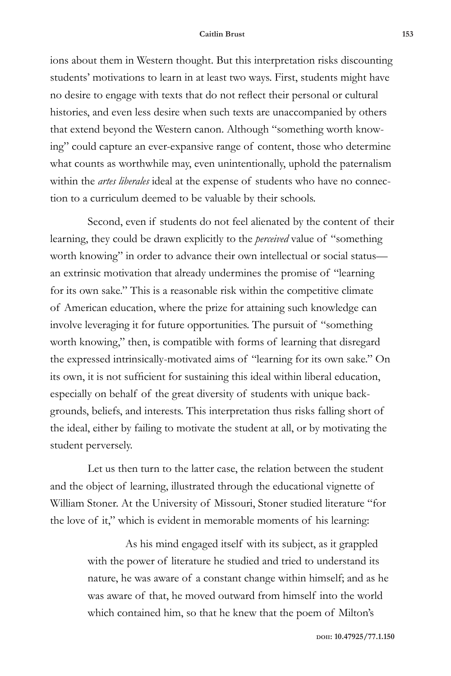ions about them in Western thought. But this interpretation risks discounting students' motivations to learn in at least two ways. First, students might have no desire to engage with texts that do not reflect their personal or cultural histories, and even less desire when such texts are unaccompanied by others that extend beyond the Western canon. Although "something worth knowing" could capture an ever-expansive range of content, those who determine what counts as worthwhile may, even unintentionally, uphold the paternalism within the *artes liberales* ideal at the expense of students who have no connection to a curriculum deemed to be valuable by their schools.

Second, even if students do not feel alienated by the content of their learning, they could be drawn explicitly to the *perceived* value of "something worth knowing" in order to advance their own intellectual or social status an extrinsic motivation that already undermines the promise of "learning for its own sake." This is a reasonable risk within the competitive climate of American education, where the prize for attaining such knowledge can involve leveraging it for future opportunities. The pursuit of "something worth knowing," then, is compatible with forms of learning that disregard the expressed intrinsically-motivated aims of "learning for its own sake." On its own, it is not sufficient for sustaining this ideal within liberal education, especially on behalf of the great diversity of students with unique backgrounds, beliefs, and interests. This interpretation thus risks falling short of the ideal, either by failing to motivate the student at all, or by motivating the student perversely.

Let us then turn to the latter case, the relation between the student and the object of learning, illustrated through the educational vignette of William Stoner. At the University of Missouri, Stoner studied literature "for the love of it," which is evident in memorable moments of his learning:

> As his mind engaged itself with its subject, as it grappled with the power of literature he studied and tried to understand its nature, he was aware of a constant change within himself; and as he was aware of that, he moved outward from himself into the world which contained him, so that he knew that the poem of Milton's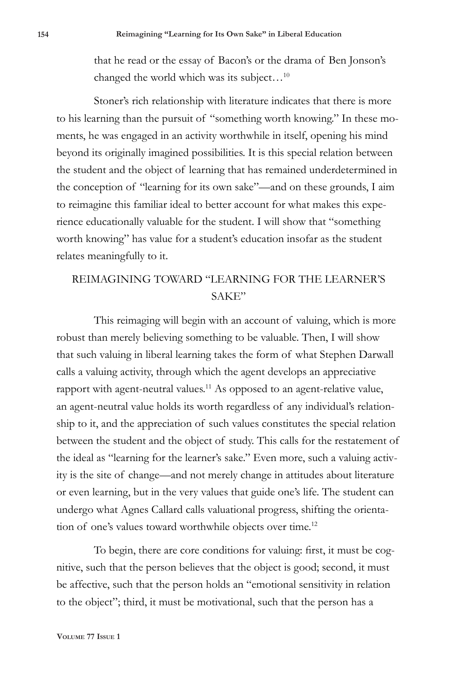that he read or the essay of Bacon's or the drama of Ben Jonson's changed the world which was its subject... $^{10}$ 

Stoner's rich relationship with literature indicates that there is more to his learning than the pursuit of "something worth knowing." In these moments, he was engaged in an activity worthwhile in itself, opening his mind beyond its originally imagined possibilities. It is this special relation between the student and the object of learning that has remained underdetermined in the conception of "learning for its own sake"—and on these grounds, I aim to reimagine this familiar ideal to better account for what makes this experience educationally valuable for the student. I will show that "something worth knowing" has value for a student's education insofar as the student relates meaningfully to it.

## REIMAGINING TOWARD "LEARNING FOR THE LEARNER'S SAKE"

This reimaging will begin with an account of valuing, which is more robust than merely believing something to be valuable. Then, I will show that such valuing in liberal learning takes the form of what Stephen Darwall calls a valuing activity, through which the agent develops an appreciative rapport with agent-neutral values.<sup>11</sup> As opposed to an agent-relative value, an agent-neutral value holds its worth regardless of any individual's relationship to it, and the appreciation of such values constitutes the special relation between the student and the object of study. This calls for the restatement of the ideal as "learning for the learner's sake." Even more, such a valuing activity is the site of change—and not merely change in attitudes about literature or even learning, but in the very values that guide one's life. The student can undergo what Agnes Callard calls valuational progress, shifting the orientation of one's values toward worthwhile objects over time.<sup>12</sup>

To begin, there are core conditions for valuing: first, it must be cognitive, such that the person believes that the object is good; second, it must be affective, such that the person holds an "emotional sensitivity in relation to the object"; third, it must be motivational, such that the person has a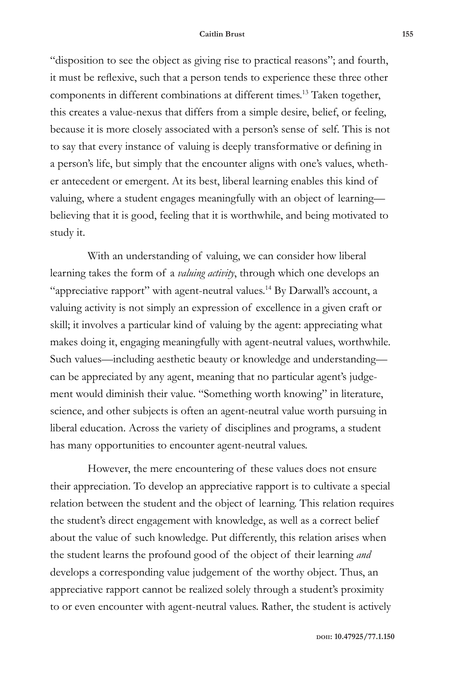"disposition to see the object as giving rise to practical reasons"; and fourth, it must be reflexive, such that a person tends to experience these three other components in different combinations at different times.13 Taken together, this creates a value-nexus that differs from a simple desire, belief, or feeling, because it is more closely associated with a person's sense of self. This is not to say that every instance of valuing is deeply transformative or defining in a person's life, but simply that the encounter aligns with one's values, whether antecedent or emergent. At its best, liberal learning enables this kind of valuing, where a student engages meaningfully with an object of learning believing that it is good, feeling that it is worthwhile, and being motivated to study it.

With an understanding of valuing, we can consider how liberal learning takes the form of a *valuing activity*, through which one develops an "appreciative rapport" with agent-neutral values.14 By Darwall's account, a valuing activity is not simply an expression of excellence in a given craft or skill; it involves a particular kind of valuing by the agent: appreciating what makes doing it, engaging meaningfully with agent-neutral values, worthwhile. Such values—including aesthetic beauty or knowledge and understanding can be appreciated by any agent, meaning that no particular agent's judgement would diminish their value. "Something worth knowing" in literature, science, and other subjects is often an agent-neutral value worth pursuing in liberal education. Across the variety of disciplines and programs, a student has many opportunities to encounter agent-neutral values.

However, the mere encountering of these values does not ensure their appreciation. To develop an appreciative rapport is to cultivate a special relation between the student and the object of learning. This relation requires the student's direct engagement with knowledge, as well as a correct belief about the value of such knowledge. Put differently, this relation arises when the student learns the profound good of the object of their learning *and* develops a corresponding value judgement of the worthy object. Thus, an appreciative rapport cannot be realized solely through a student's proximity to or even encounter with agent-neutral values. Rather, the student is actively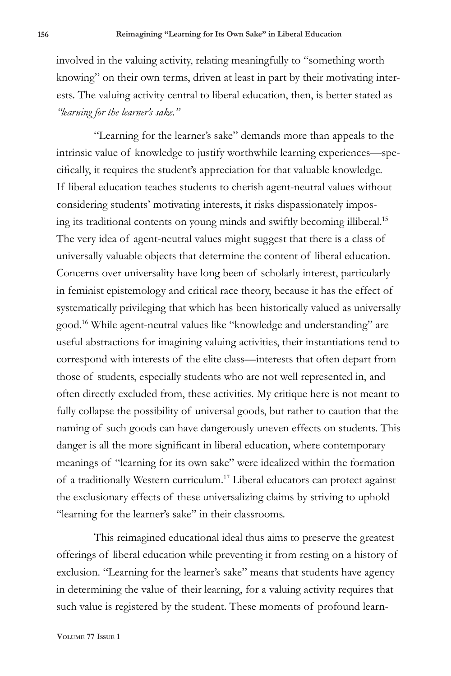involved in the valuing activity, relating meaningfully to "something worth knowing" on their own terms, driven at least in part by their motivating interests. The valuing activity central to liberal education, then, is better stated as *"learning for the learner's sake*.*"*

"Learning for the learner's sake" demands more than appeals to the intrinsic value of knowledge to justify worthwhile learning experiences—specifically, it requires the student's appreciation for that valuable knowledge. If liberal education teaches students to cherish agent-neutral values without considering students' motivating interests, it risks dispassionately imposing its traditional contents on young minds and swiftly becoming illiberal.15 The very idea of agent-neutral values might suggest that there is a class of universally valuable objects that determine the content of liberal education. Concerns over universality have long been of scholarly interest, particularly in feminist epistemology and critical race theory, because it has the effect of systematically privileging that which has been historically valued as universally good.16 While agent-neutral values like "knowledge and understanding" are useful abstractions for imagining valuing activities, their instantiations tend to correspond with interests of the elite class—interests that often depart from those of students, especially students who are not well represented in, and often directly excluded from, these activities. My critique here is not meant to fully collapse the possibility of universal goods, but rather to caution that the naming of such goods can have dangerously uneven effects on students. This danger is all the more significant in liberal education, where contemporary meanings of "learning for its own sake" were idealized within the formation of a traditionally Western curriculum.17 Liberal educators can protect against the exclusionary effects of these universalizing claims by striving to uphold "learning for the learner's sake" in their classrooms.

This reimagined educational ideal thus aims to preserve the greatest offerings of liberal education while preventing it from resting on a history of exclusion. "Learning for the learner's sake" means that students have agency in determining the value of their learning, for a valuing activity requires that such value is registered by the student. These moments of profound learn-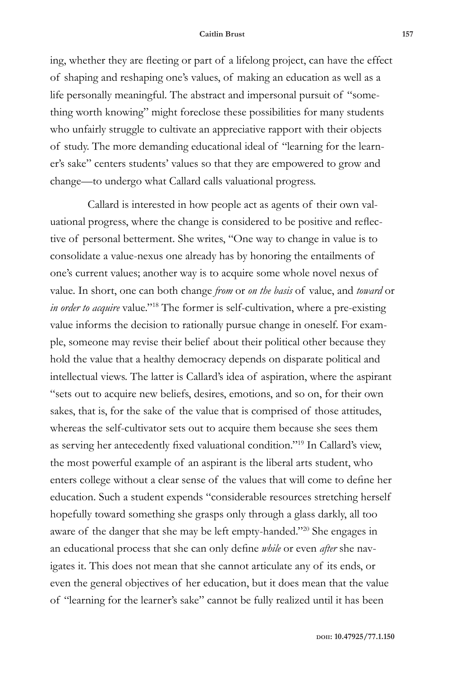ing, whether they are fleeting or part of a lifelong project, can have the effect of shaping and reshaping one's values, of making an education as well as a life personally meaningful. The abstract and impersonal pursuit of "something worth knowing" might foreclose these possibilities for many students who unfairly struggle to cultivate an appreciative rapport with their objects of study. The more demanding educational ideal of "learning for the learner's sake" centers students' values so that they are empowered to grow and change—to undergo what Callard calls valuational progress.

Callard is interested in how people act as agents of their own valuational progress, where the change is considered to be positive and reflective of personal betterment. She writes, "One way to change in value is to consolidate a value-nexus one already has by honoring the entailments of one's current values; another way is to acquire some whole novel nexus of value. In short, one can both change *from* or *on the basis* of value, and *toward* or *in order to acquire* value."18 The former is self-cultivation, where a pre-existing value informs the decision to rationally pursue change in oneself. For example, someone may revise their belief about their political other because they hold the value that a healthy democracy depends on disparate political and intellectual views. The latter is Callard's idea of aspiration, where the aspirant "sets out to acquire new beliefs, desires, emotions, and so on, for their own sakes, that is, for the sake of the value that is comprised of those attitudes, whereas the self-cultivator sets out to acquire them because she sees them as serving her antecedently fixed valuational condition."19 In Callard's view, the most powerful example of an aspirant is the liberal arts student, who enters college without a clear sense of the values that will come to define her education. Such a student expends "considerable resources stretching herself hopefully toward something she grasps only through a glass darkly, all too aware of the danger that she may be left empty-handed."20 She engages in an educational process that she can only define *while* or even *after* she navigates it. This does not mean that she cannot articulate any of its ends, or even the general objectives of her education, but it does mean that the value of "learning for the learner's sake" cannot be fully realized until it has been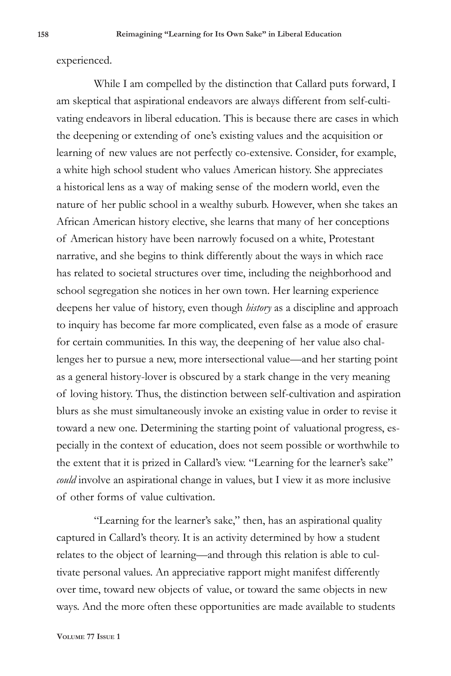experienced.

While I am compelled by the distinction that Callard puts forward, I am skeptical that aspirational endeavors are always different from self-cultivating endeavors in liberal education. This is because there are cases in which the deepening or extending of one's existing values and the acquisition or learning of new values are not perfectly co-extensive. Consider, for example, a white high school student who values American history. She appreciates a historical lens as a way of making sense of the modern world, even the nature of her public school in a wealthy suburb. However, when she takes an African American history elective, she learns that many of her conceptions of American history have been narrowly focused on a white, Protestant narrative, and she begins to think differently about the ways in which race has related to societal structures over time, including the neighborhood and school segregation she notices in her own town. Her learning experience deepens her value of history, even though *history* as a discipline and approach to inquiry has become far more complicated, even false as a mode of erasure for certain communities. In this way, the deepening of her value also challenges her to pursue a new, more intersectional value—and her starting point as a general history-lover is obscured by a stark change in the very meaning of loving history. Thus, the distinction between self-cultivation and aspiration blurs as she must simultaneously invoke an existing value in order to revise it toward a new one. Determining the starting point of valuational progress, especially in the context of education, does not seem possible or worthwhile to the extent that it is prized in Callard's view. "Learning for the learner's sake" *could* involve an aspirational change in values, but I view it as more inclusive of other forms of value cultivation.

"Learning for the learner's sake," then, has an aspirational quality captured in Callard's theory. It is an activity determined by how a student relates to the object of learning—and through this relation is able to cultivate personal values. An appreciative rapport might manifest differently over time, toward new objects of value, or toward the same objects in new ways. And the more often these opportunities are made available to students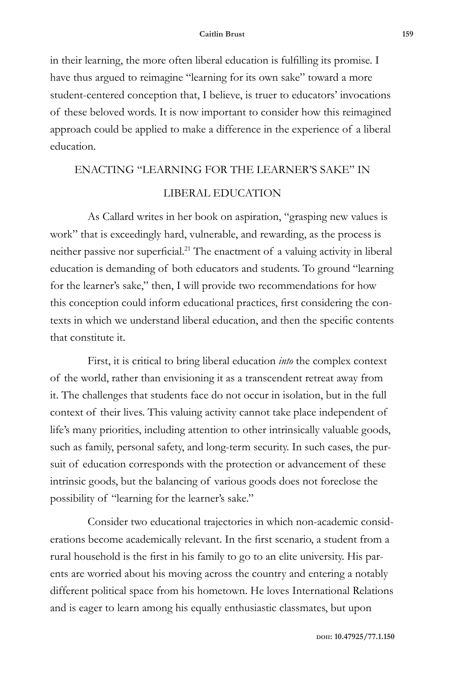in their learning, the more often liberal education is fulfilling its promise. I have thus argued to reimagine "learning for its own sake" toward a more student-centered conception that, I believe, is truer to educators' invocations of these beloved words. It is now important to consider how this reimagined approach could be applied to make a difference in the experience of a liberal education.

# ENACTING "LEARNING FOR THE LEARNER'S SAKE" IN

## LIBERAL EDUCATION

As Callard writes in her book on aspiration, "grasping new values is work" that is exceedingly hard, vulnerable, and rewarding, as the process is neither passive nor superficial.21 The enactment of a valuing activity in liberal education is demanding of both educators and students. To ground "learning for the learner's sake," then, I will provide two recommendations for how this conception could inform educational practices, first considering the contexts in which we understand liberal education, and then the specific contents that constitute it.

First, it is critical to bring liberal education *into* the complex context of the world, rather than envisioning it as a transcendent retreat away from it. The challenges that students face do not occur in isolation, but in the full context of their lives. This valuing activity cannot take place independent of life's many priorities, including attention to other intrinsically valuable goods, such as family, personal safety, and long-term security. In such cases, the pursuit of education corresponds with the protection or advancement of these intrinsic goods, but the balancing of various goods does not foreclose the possibility of "learning for the learner's sake."

Consider two educational trajectories in which non-academic considerations become academically relevant. In the first scenario, a student from a rural household is the first in his family to go to an elite university. His parents are worried about his moving across the country and entering a notably different political space from his hometown. He loves International Relations and is eager to learn among his equally enthusiastic classmates, but upon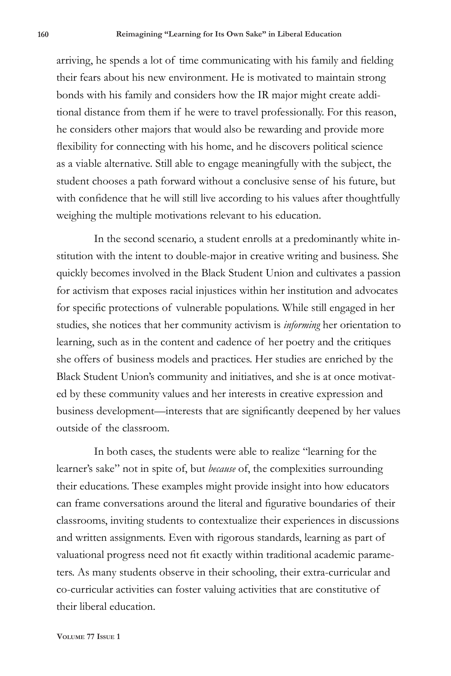arriving, he spends a lot of time communicating with his family and fielding their fears about his new environment. He is motivated to maintain strong bonds with his family and considers how the IR major might create additional distance from them if he were to travel professionally. For this reason, he considers other majors that would also be rewarding and provide more flexibility for connecting with his home, and he discovers political science as a viable alternative. Still able to engage meaningfully with the subject, the student chooses a path forward without a conclusive sense of his future, but with confidence that he will still live according to his values after thoughtfully weighing the multiple motivations relevant to his education.

In the second scenario, a student enrolls at a predominantly white institution with the intent to double-major in creative writing and business. She quickly becomes involved in the Black Student Union and cultivates a passion for activism that exposes racial injustices within her institution and advocates for specific protections of vulnerable populations. While still engaged in her studies, she notices that her community activism is *informing* her orientation to learning, such as in the content and cadence of her poetry and the critiques she offers of business models and practices. Her studies are enriched by the Black Student Union's community and initiatives, and she is at once motivated by these community values and her interests in creative expression and business development—interests that are significantly deepened by her values outside of the classroom.

In both cases, the students were able to realize "learning for the learner's sake" not in spite of, but *because* of, the complexities surrounding their educations. These examples might provide insight into how educators can frame conversations around the literal and figurative boundaries of their classrooms, inviting students to contextualize their experiences in discussions and written assignments. Even with rigorous standards, learning as part of valuational progress need not fit exactly within traditional academic parameters. As many students observe in their schooling, their extra-curricular and co-curricular activities can foster valuing activities that are constitutive of their liberal education.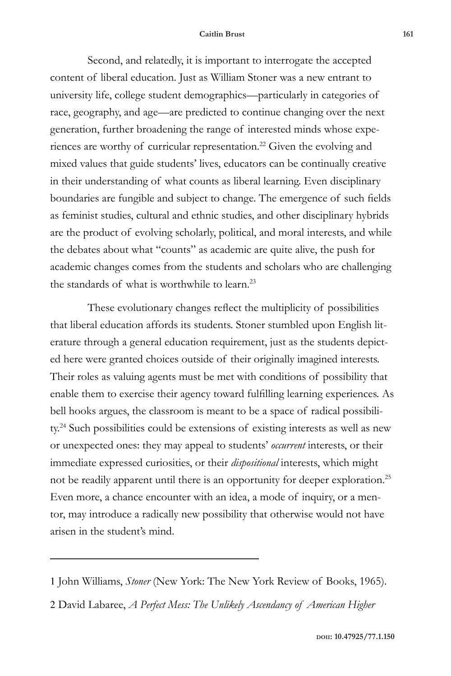Second, and relatedly, it is important to interrogate the accepted content of liberal education. Just as William Stoner was a new entrant to university life, college student demographics—particularly in categories of race, geography, and age—are predicted to continue changing over the next generation, further broadening the range of interested minds whose experiences are worthy of curricular representation.<sup>22</sup> Given the evolving and mixed values that guide students' lives, educators can be continually creative in their understanding of what counts as liberal learning. Even disciplinary boundaries are fungible and subject to change. The emergence of such fields as feminist studies, cultural and ethnic studies, and other disciplinary hybrids are the product of evolving scholarly, political, and moral interests, and while the debates about what "counts" as academic are quite alive, the push for academic changes comes from the students and scholars who are challenging the standards of what is worthwhile to learn.<sup>23</sup>

These evolutionary changes reflect the multiplicity of possibilities that liberal education affords its students. Stoner stumbled upon English literature through a general education requirement, just as the students depicted here were granted choices outside of their originally imagined interests. Their roles as valuing agents must be met with conditions of possibility that enable them to exercise their agency toward fulfilling learning experiences. As bell hooks argues, the classroom is meant to be a space of radical possibility.<sup>24</sup> Such possibilities could be extensions of existing interests as well as new or unexpected ones: they may appeal to students' *occurrent* interests, or their immediate expressed curiosities, or their *dispositional* interests, which might not be readily apparent until there is an opportunity for deeper exploration.<sup>25</sup> Even more, a chance encounter with an idea, a mode of inquiry, or a mentor, may introduce a radically new possibility that otherwise would not have arisen in the student's mind.

<sup>1</sup> John Williams, *Stoner* (New York: The New York Review of Books, 1965).

<sup>2</sup> David Labaree, *A Perfect Mess: The Unlikely Ascendancy of American Higher*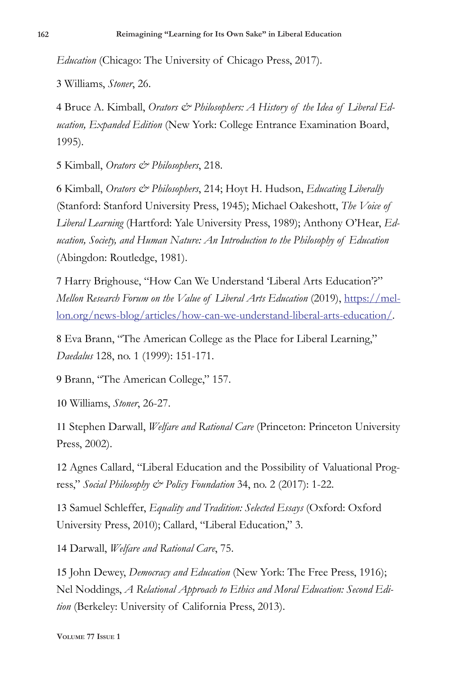*Education* (Chicago: The University of Chicago Press, 2017).

3 Williams, *Stoner*, 26.

4 Bruce A. Kimball, *Orators & Philosophers: A History of the Idea of Liberal Education, Expanded Edition* (New York: College Entrance Examination Board, 1995).

5 Kimball, *Orators & Philosophers*, 218.

6 Kimball, *Orators & Philosophers*, 214; Hoyt H. Hudson, *Educating Liberally* (Stanford: Stanford University Press, 1945); Michael Oakeshott, *The Voice of Liberal Learning* (Hartford: Yale University Press, 1989); Anthony O'Hear, *Education, Society, and Human Nature: An Introduction to the Philosophy of Education* (Abingdon: Routledge, 1981).

7 Harry Brighouse, "How Can We Understand 'Liberal Arts Education'?" *Mellon Research Forum on the Value of Liberal Arts Education* (2019), https://mellon.org/news-blog/articles/how-can-we-understand-liberal-arts-education/.

8 Eva Brann, "The American College as the Place for Liberal Learning," *Daedalus* 128, no. 1 (1999): 151-171.

9 Brann, "The American College," 157.

10 Williams, *Stoner*, 26-27.

11 Stephen Darwall, *Welfare and Rational Care* (Princeton: Princeton University Press, 2002).

12 Agnes Callard, "Liberal Education and the Possibility of Valuational Progress," *Social Philosophy & Policy Foundation* 34, no. 2 (2017): 1-22.

13 Samuel Schleffer, *Equality and Tradition: Selected Essays* (Oxford: Oxford University Press, 2010); Callard, "Liberal Education," 3.

14 Darwall, *Welfare and Rational Care*, 75.

15 John Dewey, *Democracy and Education* (New York: The Free Press, 1916); Nel Noddings, *A Relational Approach to Ethics and Moral Education: Second Edition* (Berkeley: University of California Press, 2013).